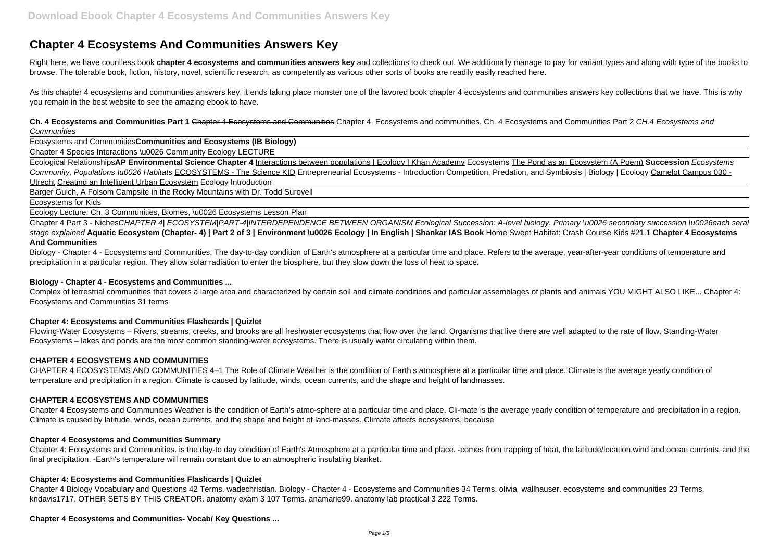# **Chapter 4 Ecosystems And Communities Answers Key**

Right here, we have countless book **chapter 4 ecosystems and communities answers key** and collections to check out. We additionally manage to pay for variant types and along with type of the books to browse. The tolerable book, fiction, history, novel, scientific research, as competently as various other sorts of books are readily easily reached here.

As this chapter 4 ecosystems and communities answers key, it ends taking place monster one of the favored book chapter 4 ecosystems and communities answers key collections that we have. This is why you remain in the best website to see the amazing ebook to have.

**Ch. 4 Ecosystems and Communities Part 1** Chapter 4 Ecosystems and Communities Chapter 4. Ecosystems and communities. Ch. 4 Ecosystems and Communities Part 2 CH.4 Ecosystems and **Communities** 

Ecosystems and Communities**Communities and Ecosystems (IB Biology)**

Chapter 4 Species Interactions \u0026 Community Ecology LECTURE

Chapter 4 Part 3 - NichesCHAPTER 4| ECOSYSTEM|PART-4|INTERDEPENDENCE BETWEEN ORGANISM Ecological Succession: A-level biology. Primary \u0026 secondary succession \u0026each seral stage explained **Aquatic Ecosystem (Chapter- 4) | Part 2 of 3 | Environment \u0026 Ecology | In English | Shankar IAS Book** Home Sweet Habitat: Crash Course Kids #21.1 **Chapter 4 Ecosystems And Communities**

Biology - Chapter 4 - Ecosystems and Communities. The day-to-day condition of Earth's atmosphere at a particular time and place. Refers to the average, year-after-year conditions of temperature and precipitation in a particular region. They allow solar radiation to enter the biosphere, but they slow down the loss of heat to space.

Ecological Relationships**AP Environmental Science Chapter 4** Interactions between populations | Ecology | Khan Academy Ecosystems The Pond as an Ecosystem (A Poem) **Succession** Ecosystems Community, Populations \u0026 Habitats ECOSYSTEMS - The Science KID Entrepreneurial Ecosystems - Introduction Competition, Predation, and Symbiosis | Biology | Ecology Camelot Campus 030 -Utrecht Creating an Intelligent Urban Ecosystem Ecology Introduction

Barger Gulch, A Folsom Campsite in the Rocky Mountains with Dr. Todd Surovell

Ecosystems for Kids

Ecology Lecture: Ch. 3 Communities, Biomes, \u0026 Ecosystems Lesson Plan

### **Biology - Chapter 4 - Ecosystems and Communities ...**

Complex of terrestrial communities that covers a large area and characterized by certain soil and climate conditions and particular assemblages of plants and animals YOU MIGHT ALSO LIKE... Chapter 4: Ecosystems and Communities 31 terms

### **Chapter 4: Ecosystems and Communities Flashcards | Quizlet**

Flowing-Water Ecosystems – Rivers, streams, creeks, and brooks are all freshwater ecosystems that flow over the land. Organisms that live there are well adapted to the rate of flow. Standing-Water Ecosystems – lakes and ponds are the most common standing-water ecosystems. There is usually water circulating within them.

### **CHAPTER 4 ECOSYSTEMS AND COMMUNITIES**

CHAPTER 4 ECOSYSTEMS AND COMMUNITIES 4–1 The Role of Climate Weather is the condition of Earth's atmosphere at a particular time and place. Climate is the average yearly condition of temperature and precipitation in a region. Climate is caused by latitude, winds, ocean currents, and the shape and height of landmasses.

### **CHAPTER 4 ECOSYSTEMS AND COMMUNITIES**

Chapter 4 Ecosystems and Communities Weather is the condition of Earth's atmo-sphere at a particular time and place. Cli-mate is the average yearly condition of temperature and precipitation in a region. Climate is caused by latitude, winds, ocean currents, and the shape and height of land-masses. Climate affects ecosystems, because

### **Chapter 4 Ecosystems and Communities Summary**

Chapter 4: Ecosystems and Communities. is the day-to day condition of Earth's Atmosphere at a particular time and place. -comes from trapping of heat, the latitude/location,wind and ocean currents, and the final precipitation. -Earth's temperature will remain constant due to an atmospheric insulating blanket.

### **Chapter 4: Ecosystems and Communities Flashcards | Quizlet**

Chapter 4 Biology Vocabulary and Questions 42 Terms. wadechristian. Biology - Chapter 4 - Ecosystems and Communities 34 Terms. olivia\_wallhauser. ecosystems and communities 23 Terms. kndavis1717. OTHER SETS BY THIS CREATOR. anatomy exam 3 107 Terms. anamarie99. anatomy lab practical 3 222 Terms.

#### **Chapter 4 Ecosystems and Communities- Vocab/ Key Questions ...**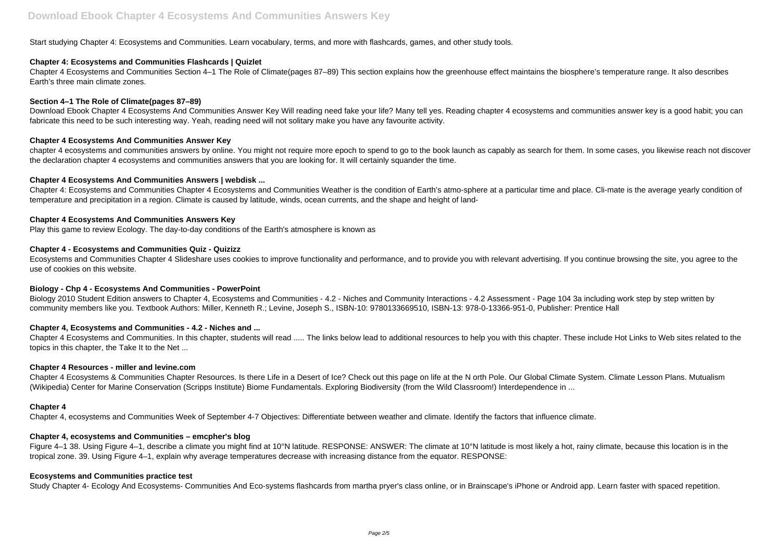Start studying Chapter 4: Ecosystems and Communities. Learn vocabulary, terms, and more with flashcards, games, and other study tools.

# **Chapter 4: Ecosystems and Communities Flashcards | Quizlet**

Chapter 4 Ecosystems and Communities Section 4–1 The Role of Climate(pages 87–89) This section explains how the greenhouse effect maintains the biosphere's temperature range. It also describes Earth's three main climate zones.

# **Section 4–1 The Role of Climate(pages 87–89)**

Download Ebook Chapter 4 Ecosystems And Communities Answer Key Will reading need fake your life? Many tell yes. Reading chapter 4 ecosystems and communities answer key is a good habit; you can fabricate this need to be such interesting way. Yeah, reading need will not solitary make you have any favourite activity.

# **Chapter 4 Ecosystems And Communities Answer Key**

chapter 4 ecosystems and communities answers by online. You might not require more epoch to spend to go to the book launch as capably as search for them. In some cases, you likewise reach not discover the declaration chapter 4 ecosystems and communities answers that you are looking for. It will certainly squander the time.

Biology 2010 Student Edition answers to Chapter 4, Ecosystems and Communities - 4.2 - Niches and Community Interactions - 4.2 Assessment - Page 104 3a including work step by step written by community members like you. Textbook Authors: Miller, Kenneth R.; Levine, Joseph S., ISBN-10: 9780133669510, ISBN-13: 978-0-13366-951-0, Publisher: Prentice Hall

# **Chapter 4 Ecosystems And Communities Answers | webdisk ...**

Chapter 4: Ecosystems and Communities Chapter 4 Ecosystems and Communities Weather is the condition of Earth's atmo-sphere at a particular time and place. Cli-mate is the average yearly condition of temperature and precipitation in a region. Climate is caused by latitude, winds, ocean currents, and the shape and height of land-

# **Chapter 4 Ecosystems And Communities Answers Key**

Play this game to review Ecology. The day-to-day conditions of the Earth's atmosphere is known as

# **Chapter 4 - Ecosystems and Communities Quiz - Quizizz**

Figure 4–1 38. Using Figure 4–1, describe a climate you might find at 10°N latitude. RESPONSE: ANSWER: The climate at 10°N latitude is most likely a hot, rainy climate, because this location is in the tropical zone. 39. Using Figure 4–1, explain why average temperatures decrease with increasing distance from the equator. RESPONSE:

Ecosystems and Communities Chapter 4 Slideshare uses cookies to improve functionality and performance, and to provide you with relevant advertising. If you continue browsing the site, you agree to the use of cookies on this website.

# **Biology - Chp 4 - Ecosystems And Communities - PowerPoint**

# **Chapter 4, Ecosystems and Communities - 4.2 - Niches and ...**

Chapter 4 Ecosystems and Communities. In this chapter, students will read ..... The links below lead to additional resources to help you with this chapter. These include Hot Links to Web sites related to the topics in this chapter, the Take It to the Net ...

### **Chapter 4 Resources - miller and levine.com**

Chapter 4 Ecosystems & Communities Chapter Resources. Is there Life in a Desert of Ice? Check out this page on life at the N orth Pole. Our Global Climate System. Climate Lesson Plans. Mutualism (Wikipedia) Center for Marine Conservation (Scripps Institute) Biome Fundamentals. Exploring Biodiversity (from the Wild Classroom!) Interdependence in ...

### **Chapter 4**

Chapter 4, ecosystems and Communities Week of September 4-7 Objectives: Differentiate between weather and climate. Identify the factors that influence climate.

### **Chapter 4, ecosystems and Communities – emcpher's blog**

# **Ecosystems and Communities practice test**

Study Chapter 4- Ecology And Ecosystems- Communities And Eco-systems flashcards from martha pryer's class online, or in Brainscape's iPhone or Android app. Learn faster with spaced repetition.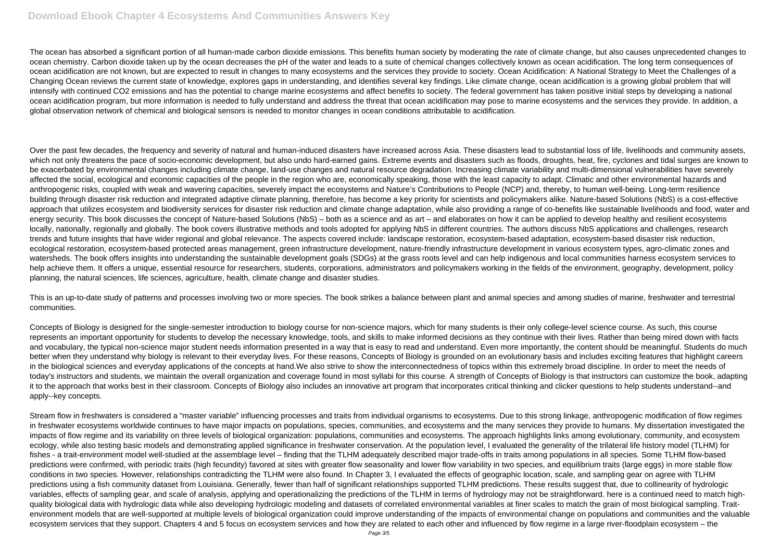The ocean has absorbed a significant portion of all human-made carbon dioxide emissions. This benefits human society by moderating the rate of climate change, but also causes unprecedented changes to ocean chemistry. Carbon dioxide taken up by the ocean decreases the pH of the water and leads to a suite of chemical changes collectively known as ocean acidification. The long term consequences of ocean acidification are not known, but are expected to result in changes to many ecosystems and the services they provide to society. Ocean Acidification: A National Strategy to Meet the Challenges of a Changing Ocean reviews the current state of knowledge, explores gaps in understanding, and identifies several key findings. Like climate change, ocean acidification is a growing global problem that will intensify with continued CO2 emissions and has the potential to change marine ecosystems and affect benefits to society. The federal government has taken positive initial steps by developing a national ocean acidification program, but more information is needed to fully understand and address the threat that ocean acidification may pose to marine ecosystems and the services they provide. In addition, a global observation network of chemical and biological sensors is needed to monitor changes in ocean conditions attributable to acidification.

Over the past few decades, the frequency and severity of natural and human-induced disasters have increased across Asia. These disasters lead to substantial loss of life, livelihoods and community assets, which not only threatens the pace of socio-economic development, but also undo hard-earned gains. Extreme events and disasters such as floods, droughts, heat, fire, cyclones and tidal surges are known to be exacerbated by environmental changes including climate change, land-use changes and natural resource degradation. Increasing climate variability and multi-dimensional vulnerabilities have severely affected the social, ecological and economic capacities of the people in the region who are, economically speaking, those with the least capacity to adapt. Climatic and other environmental hazards and anthropogenic risks, coupled with weak and wavering capacities, severely impact the ecosystems and Nature's Contributions to People (NCP) and, thereby, to human well-being. Long-term resilience building through disaster risk reduction and integrated adaptive climate planning, therefore, has become a key priority for scientists and policymakers alike. Nature-based Solutions (NbS) is a cost-effective approach that utilizes ecosystem and biodiversity services for disaster risk reduction and climate change adaptation, while also providing a range of co-benefits like sustainable livelihoods and food, water and energy security. This book discusses the concept of Nature-based Solutions (NbS) – both as a science and as art – and elaborates on how it can be applied to develop healthy and resilient ecosystems locally, nationally, regionally and globally. The book covers illustrative methods and tools adopted for applying NbS in different countries. The authors discuss NbS applications and challenges, research trends and future insights that have wider regional and global relevance. The aspects covered include: landscape restoration, ecosystem-based adaptation, ecosystem-based disaster risk reduction, ecological restoration, ecosystem-based protected areas management, green infrastructure development, nature-friendly infrastructure development in various ecosystem types, agro-climatic zones and watersheds. The book offers insights into understanding the sustainable development goals (SDGs) at the grass roots level and can help indigenous and local communities harness ecosystem services to help achieve them. It offers a unique, essential resource for researchers, students, corporations, administrators and policymakers working in the fields of the environment, geography, development, policy planning, the natural sciences, life sciences, agriculture, health, climate change and disaster studies.

This is an up-to-date study of patterns and processes involving two or more species. The book strikes a balance between plant and animal species and among studies of marine, freshwater and terrestrial communities.

Concepts of Biology is designed for the single-semester introduction to biology course for non-science majors, which for many students is their only college-level science course. As such, this course represents an important opportunity for students to develop the necessary knowledge, tools, and skills to make informed decisions as they continue with their lives. Rather than being mired down with facts and vocabulary, the typical non-science major student needs information presented in a way that is easy to read and understand. Even more importantly, the content should be meaningful. Students do much better when they understand why biology is relevant to their everyday lives. For these reasons, Concepts of Biology is grounded on an evolutionary basis and includes exciting features that highlight careers in the biological sciences and everyday applications of the concepts at hand.We also strive to show the interconnectedness of topics within this extremely broad discipline. In order to meet the needs of today's instructors and students, we maintain the overall organization and coverage found in most syllabi for this course. A strength of Concepts of Biology is that instructors can customize the book, adapting it to the approach that works best in their classroom. Concepts of Biology also includes an innovative art program that incorporates critical thinking and clicker questions to help students understand--and apply--key concepts.

Stream flow in freshwaters is considered a "master variable" influencing processes and traits from individual organisms to ecosystems. Due to this strong linkage, anthropogenic modification of flow regimes in freshwater ecosystems worldwide continues to have major impacts on populations, species, communities, and ecosystems and the many services they provide to humans. My dissertation investigated the impacts of flow regime and its variability on three levels of biological organization: populations, communities and ecosystems. The approach highlights links among evolutionary, community, and ecosystem ecology, while also testing basic models and demonstrating applied significance in freshwater conservation. At the population level, I evaluated the generality of the trilateral life history model (TLHM) for fishes - a trait-environment model well-studied at the assemblage level – finding that the TLHM adequately described major trade-offs in traits among populations in all species. Some TLHM flow-based predictions were confirmed, with periodic traits (high fecundity) favored at sites with greater flow seasonality and lower flow variability in two species, and equilibrium traits (large eggs) in more stable flow conditions in two species. However, relationships contradicting the TLHM were also found. In Chapter 3, I evaluated the effects of geographic location, scale, and sampling gear on agree with TLHM predictions using a fish community dataset from Louisiana. Generally, fewer than half of significant relationships supported TLHM predictions. These results suggest that, due to collinearity of hydrologic variables, effects of sampling gear, and scale of analysis, applying and operationalizing the predictions of the TLHM in terms of hydrology may not be straightforward. here is a continued need to match highquality biological data with hydrologic data while also developing hydrologic modeling and datasets of correlated environmental variables at finer scales to match the grain of most biological sampling. Traitenvironment models that are well-supported at multiple levels of biological organization could improve understanding of the impacts of environmental change on populations and communities and the valuable ecosystem services that they support. Chapters 4 and 5 focus on ecosystem services and how they are related to each other and influenced by flow regime in a large river-floodplain ecosystem – the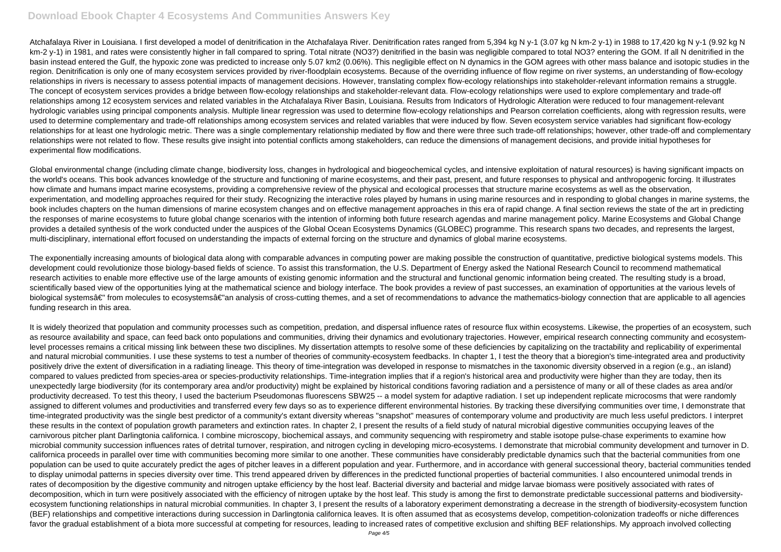# **Download Ebook Chapter 4 Ecosystems And Communities Answers Key**

Atchafalaya River in Louisiana. I first developed a model of denitrification in the Atchafalaya River. Denitrification rates ranged from 5.394 kg N v-1 (3.07 kg N km-2 y-1) in 1988 to 17.420 kg N y-1 (9.92 kg N km-2 y-1) in 1981, and rates were consistently higher in fall compared to spring. Total nitrate (NO3?) denitrified in the basin was negligible compared to total NO3? entering the GOM. If all N denitrified in the basin instead entered the Gulf, the hypoxic zone was predicted to increase only 5.07 km2 (0.06%). This negligible effect on N dynamics in the GOM agrees with other mass balance and isotopic studies in the region. Denitrification is only one of many ecosystem services provided by river-floodplain ecosystems. Because of the overriding influence of flow regime on river systems, an understanding of flow-ecology relationships in rivers is necessary to assess potential impacts of management decisions. However, translating complex flow-ecology relationships into stakeholder-relevant information remains a struggle. The concept of ecosystem services provides a bridge between flow-ecology relationships and stakeholder-relevant data. Flow-ecology relationships were used to explore complementary and trade-off relationships among 12 ecosystem services and related variables in the Atchafalaya River Basin, Louisiana. Results from Indicators of Hydrologic Alteration were reduced to four management-relevant hydrologic variables using principal components analysis. Multiple linear regression was used to determine flow-ecology relationships and Pearson correlation coefficients, along with regression results, were used to determine complementary and trade-off relationships among ecosystem services and related variables that were induced by flow. Seven ecosystem service variables had significant flow-ecology relationships for at least one hydrologic metric. There was a single complementary relationship mediated by flow and there were three such trade-off relationships; however, other trade-off and complementary relationships were not related to flow. These results give insight into potential conflicts among stakeholders, can reduce the dimensions of management decisions, and provide initial hypotheses for experimental flow modifications.

Global environmental change (including climate change, biodiversity loss, changes in hydrological and biogeochemical cycles, and intensive exploitation of natural resources) is having significant impacts on the world's oceans. This book advances knowledge of the structure and functioning of marine ecosystems, and their past, present, and future responses to physical and anthropogenic forcing. It illustrates how climate and humans impact marine ecosystems, providing a comprehensive review of the physical and ecological processes that structure marine ecosystems as well as the observation, experimentation, and modelling approaches required for their study. Recognizing the interactive roles played by humans in using marine resources and in responding to global changes in marine systems, the book includes chapters on the human dimensions of marine ecosystem changes and on effective management approaches in this era of rapid change. A final section reviews the state of the art in predicting the responses of marine ecosystems to future global change scenarios with the intention of informing both future research agendas and marine management policy. Marine Ecosystems and Global Change provides a detailed synthesis of the work conducted under the auspices of the Global Ocean Ecosystems Dynamics (GLOBEC) programme. This research spans two decades, and represents the largest, multi-disciplinary, international effort focused on understanding the impacts of external forcing on the structure and dynamics of global marine ecosystems.

The exponentially increasing amounts of biological data along with comparable advances in computing power are making possible the construction of quantitative, predictive biological systems models. This development could revolutionize those biology-based fields of science. To assist this transformation, the U.S. Department of Energy asked the National Research Council to recommend mathematical research activities to enable more effective use of the large amounts of existing genomic information and the structural and functional genomic information being created. The resulting study is a broad, scientifically based view of the opportunities lying at the mathematical science and biology interface. The book provides a review of past successes, an examination of opportunities at the various levels of biological systemsâ€" from molecules to ecosystemsâ€"an analysis of cross-cutting themes, and a set of recommendations to advance the mathematics-biology connection that are applicable to all agencies funding research in this area.

It is widely theorized that population and community processes such as competition, predation, and dispersal influence rates of resource flux within ecosystems. Likewise, the properties of an ecosystem, such as resource availability and space, can feed back onto populations and communities, driving their dynamics and evolutionary trajectories. However, empirical research connecting community and ecosystemlevel processes remains a critical missing link between these two disciplines. My dissertation attempts to resolve some of these deficiencies by capitalizing on the tractability and replicability of experimental and natural microbial communities. I use these systems to test a number of theories of community-ecosystem feedbacks. In chapter 1, I test the theory that a bioregion's time-integrated area and productivity positively drive the extent of diversification in a radiating lineage. This theory of time-integration was developed in response to mismatches in the taxonomic diversity observed in a region (e.g., an island) compared to values predicted from species-area or species-productivity relationships. Time-integration implies that if a region's historical area and productivity were higher than they are today, then its unexpectedly large biodiversity (for its contemporary area and/or productivity) might be explained by historical conditions favoring radiation and a persistence of many or all of these clades as area and/or productivity decreased. To test this theory, I used the bacterium Pseudomonas fluorescens SBW25 -- a model system for adaptive radiation. I set up independent replicate microcosms that were randomly assigned to different volumes and productivities and transferred every few days so as to experience different environmental histories. By tracking these diversifying communities over time, I demonstrate that time-integrated productivity was the single best predictor of a community's extant diversity whereas "snapshot" measures of contemporary volume and productivity are much less useful predictors. I interpret these results in the context of population growth parameters and extinction rates. In chapter 2, I present the results of a field study of natural microbial digestive communities occupying leaves of the carnivorous pitcher plant Darlingtonia californica. I combine microscopy, biochemical assays, and community sequencing with respirometry and stable isotope pulse-chase experiments to examine how microbial community succession influences rates of detrital turnover, respiration, and nitrogen cycling in developing micro-ecosystems. I demonstrate that microbial community development and turnover in D. californica proceeds in parallel over time with communities becoming more similar to one another. These communities have considerably predictable dynamics such that the bacterial communities from one population can be used to quite accurately predict the ages of pitcher leaves in a different population and year. Furthermore, and in accordance with general successional theory, bacterial communities tended to display unimodal patterns in species diversity over time. This trend appeared driven by differences in the predicted functional properties of bacterial communities. I also encountered unimodal trends in rates of decomposition by the digestive community and nitrogen uptake efficiency by the host leaf. Bacterial diversity and bacterial and midge larvae biomass were positively associated with rates of decomposition, which in turn were positively associated with the efficiency of nitrogen uptake by the host leaf. This study is among the first to demonstrate predictable successional patterns and biodiversityecosystem functioning relationships in natural microbial communities. In chapter 3, I present the results of a laboratory experiment demonstrating a decrease in the strength of biodiversity-ecosystem function (BEF) relationships and competitive interactions during succession in Darlingtonia californica leaves. It is often assumed that as ecosystems develop, competition-colonization tradeoffs or niche differences favor the gradual establishment of a biota more successful at competing for resources, leading to increased rates of competitive exclusion and shifting BEF relationships. My approach involved collecting